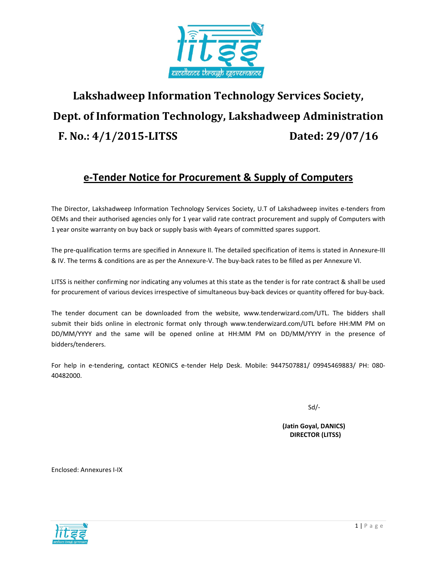

# Lakshadweep Information Technology Services Society, Dept. of Information Technology, Lakshadweep Administration F. No.: 4/1/2015-LITSS Dated: 29/07/16

### e-Tender Notice for Procurement & Supply of Computers

The Director, Lakshadweep Information Technology Services Society, U.T of Lakshadweep invites e-tenders from OEMs and their authorised agencies only for 1 year valid rate contract procurement and supply of Computers with 1 year onsite warranty on buy back or supply basis with 4years of committed spares support.

The pre-qualification terms are specified in Annexure II. The detailed specification of items is stated in Annexure-III & IV. The terms & conditions are as per the Annexure-V. The buy-back rates to be filled as per Annexure VI.

LITSS is neither confirming nor indicating any volumes at this state as the tender is for rate contract & shall be used for procurement of various devices irrespective of simultaneous buy-back devices or quantity offered for buy-back.

The tender document can be downloaded from the website, www.tenderwizard.com/UTL. The bidders shall submit their bids online in electronic format only through www.tenderwizard.com/UTL before HH:MM PM on DD/MM/YYYY and the same will be opened online at HH:MM PM on DD/MM/YYYY in the presence of bidders/tenderers.

For help in e-tendering, contact KEONICS e-tender Help Desk. Mobile: 9447507881/ 09945469883/ PH: 080- 40482000.

 $Sd$ -

 (Jatin Goyal, DANICS) DIRECTOR (LITSS)

Enclosed: Annexures I-IX

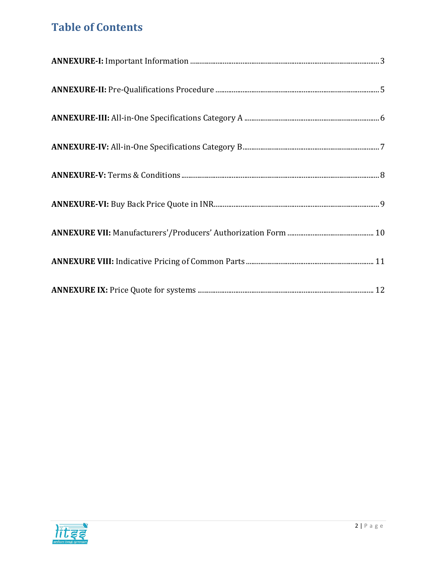## Table of Contents

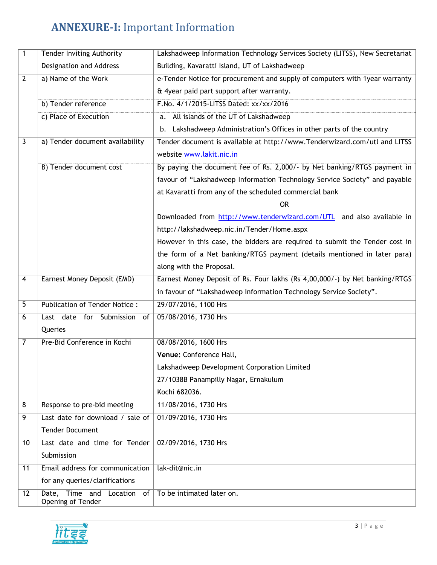## ANNEXURE-I: Important Information

| 1              | Tender Inviting Authority                          | Lakshadweep Information Technology Services Society (LITSS), New Secretariat |
|----------------|----------------------------------------------------|------------------------------------------------------------------------------|
|                | Designation and Address                            | Building, Kavaratti Island, UT of Lakshadweep                                |
| $\overline{2}$ | a) Name of the Work                                | e-Tender Notice for procurement and supply of computers with 1year warranty  |
|                |                                                    | & 4year paid part support after warranty.                                    |
|                | b) Tender reference                                | F.No. 4/1/2015-LITSS Dated: xx/xx/2016                                       |
|                | c) Place of Execution                              | a. All islands of the UT of Lakshadweep                                      |
|                |                                                    | b. Lakshadweep Administration's Offices in other parts of the country        |
| 3              | a) Tender document availability                    | Tender document is available at http://www.Tenderwizard.com/utl and LITSS    |
|                |                                                    | website www.lakit.nic.in                                                     |
|                | <b>B) Tender document cost</b>                     | By paying the document fee of Rs. 2,000/- by Net banking/RTGS payment in     |
|                |                                                    | favour of "Lakshadweep Information Technology Service Society" and payable   |
|                |                                                    | at Kavaratti from any of the scheduled commercial bank                       |
|                |                                                    | 0R                                                                           |
|                |                                                    | Downloaded from http://www.tenderwizard.com/UTL and also available in        |
|                |                                                    | http://lakshadweep.nic.in/Tender/Home.aspx                                   |
|                |                                                    | However in this case, the bidders are required to submit the Tender cost in  |
|                |                                                    | the form of a Net banking/RTGS payment (details mentioned in later para)     |
|                |                                                    | along with the Proposal.                                                     |
| 4              | Earnest Money Deposit (EMD)                        | Earnest Money Deposit of Rs. Four lakhs (Rs 4,00,000/-) by Net banking/RTGS  |
|                |                                                    | in favour of "Lakshadweep Information Technology Service Society".           |
| 5              | <b>Publication of Tender Notice:</b>               | 29/07/2016, 1100 Hrs                                                         |
| 6              | Last date for Submission<br>of                     | 05/08/2016, 1730 Hrs                                                         |
|                | Queries                                            |                                                                              |
| 7              | Pre-Bid Conference in Kochi                        | 08/08/2016, 1600 Hrs                                                         |
|                |                                                    | Venue: Conference Hall,                                                      |
|                |                                                    | Lakshadweep Development Corporation Limited                                  |
|                |                                                    | 27/1038B Panampilly Nagar, Ernakulum                                         |
|                |                                                    | Kochi 682036.                                                                |
| 8              | Response to pre-bid meeting                        | 11/08/2016, 1730 Hrs                                                         |
| 9              | Last date for download / sale of                   | 01/09/2016, 1730 Hrs                                                         |
|                | <b>Tender Document</b>                             |                                                                              |
| 10             | Last date and time for Tender                      | 02/09/2016, 1730 Hrs                                                         |
|                | Submission                                         |                                                                              |
| 11             | Email address for communication                    | lak-dit@nic.in                                                               |
|                | for any queries/clarifications                     |                                                                              |
| 12             | Date, Time and Location<br>of<br>Opening of Tender | To be intimated later on.                                                    |

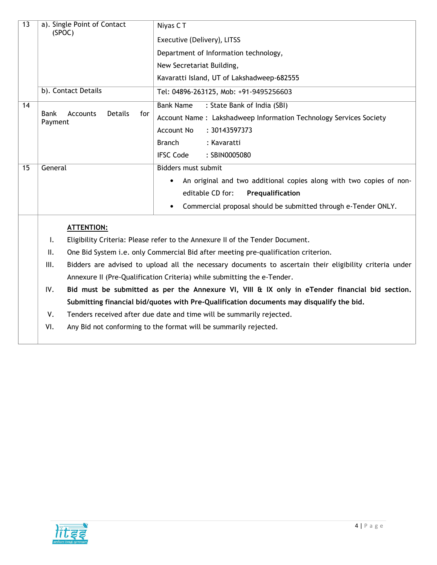| $\overline{13}$ | a). Single Point of Contact<br>(SPOC)                              | Niyas CT<br>Executive (Delivery), LITSS                                                                 |  |  |
|-----------------|--------------------------------------------------------------------|---------------------------------------------------------------------------------------------------------|--|--|
|                 |                                                                    | Department of Information technology,                                                                   |  |  |
|                 |                                                                    | New Secretariat Building,                                                                               |  |  |
|                 |                                                                    | Kavaratti Island, UT of Lakshadweep-682555                                                              |  |  |
|                 | b). Contact Details                                                | Tel: 04896-263125, Mob: +91-9495256603                                                                  |  |  |
| 14              |                                                                    | : State Bank of India (SBI)<br><b>Bank Name</b>                                                         |  |  |
|                 | <b>Details</b><br><b>Bank</b><br><b>Accounts</b><br>for<br>Payment | Account Name: Lakshadweep Information Technology Services Society                                       |  |  |
|                 |                                                                    | <b>Account No</b><br>: 30143597373                                                                      |  |  |
|                 |                                                                    | <b>Branch</b><br>: Kavaratti                                                                            |  |  |
|                 |                                                                    | <b>IFSC Code</b><br>: SBIN0005080                                                                       |  |  |
| 15              | General                                                            | Bidders must submit                                                                                     |  |  |
|                 |                                                                    | An original and two additional copies along with two copies of non-                                     |  |  |
|                 |                                                                    | editable CD for:<br>Prequalification                                                                    |  |  |
|                 |                                                                    | Commercial proposal should be submitted through e-Tender ONLY.<br>$\bullet$                             |  |  |
|                 | <b>ATTENTION:</b>                                                  |                                                                                                         |  |  |
|                 | Ι.                                                                 | Eligibility Criteria: Please refer to the Annexure II of the Tender Document.                           |  |  |
|                 | ΙΙ.                                                                | One Bid System i.e. only Commercial Bid after meeting pre-qualification criterion.                      |  |  |
|                 | III.                                                               | Bidders are advised to upload all the necessary documents to ascertain their eligibility criteria under |  |  |
|                 |                                                                    | Annexure II (Pre-Qualification Criteria) while submitting the e-Tender.                                 |  |  |
|                 | IV.                                                                | Bid must be submitted as per the Annexure VI, VIII & IX only in eTender financial bid section.          |  |  |

Submitting financial bid/quotes with Pre-Qualification documents may disqualify the bid.

V. Tenders received after due date and time will be summarily rejected.

VI. Any Bid not conforming to the format will be summarily rejected.

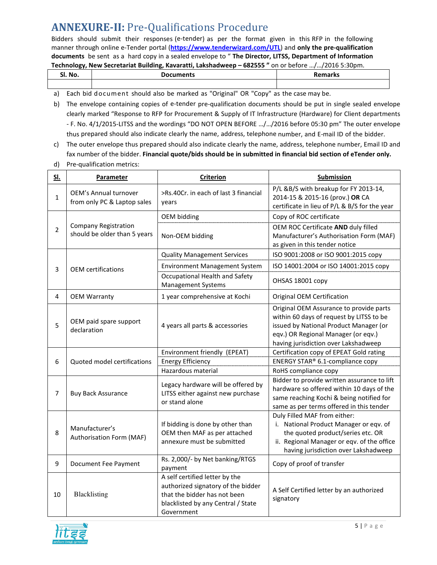## ANNEXURE-II: Pre-Qualifications Procedure

Bidders should submit their responses (e-tender) as per the format given in this RFP in the following manner through online e-Tender portal (https://www.tenderwizard.com/UTL) and only the pre-qualification documents be sent as a hard copy in a sealed envelope to "The Director, LITSS, Department of Information Technology, New Secretariat Building, Kavaratti, Lakshadweep – 682555 " on or before …/…/2016 5:30pm.

| No.<br>וכ. | Documents | Damarka |  |  |  |  |
|------------|-----------|---------|--|--|--|--|
|            |           |         |  |  |  |  |

- a) Each bid document should also be marked as "Original" OR "Copy" as the case may be.
- b) The envelope containing copies of e-tender pre-qualification documents should be put in single sealed envelope clearly marked "Response to RFP for Procurement & Supply of IT Infrastructure (Hardware) for Client departments - F. No. 4/1/2015-LITSS and the wordings "DO NOT OPEN BEFORE …/…/2016 before 05:30 pm" The outer envelope thus prepared should also indicate clearly the name, address, telephone number, and E-mail ID of the bidder.
- c) The outer envelope thus prepared should also indicate clearly the name, address, telephone number, Email ID and fax number of the bidder. Financial quote/bids should be in submitted in financial bid section of eTender only.
- d) Pre-qualification metrics:

| <u>SI.</u>     | Parameter                                                   | <b>Criterion</b>                                                                                                                                         | <b>Submission</b>                                                                                                                                                                                            |
|----------------|-------------------------------------------------------------|----------------------------------------------------------------------------------------------------------------------------------------------------------|--------------------------------------------------------------------------------------------------------------------------------------------------------------------------------------------------------------|
| $\mathbf{1}$   | <b>OEM's Annual turnover</b><br>from only PC & Laptop sales | >Rs.40Cr. in each of last 3 financial<br>vears                                                                                                           | P/L &B/S with breakup for FY 2013-14,<br>2014-15 & 2015-16 (prov.) OR CA<br>certificate in lieu of P/L & B/S for the year                                                                                    |
|                |                                                             | <b>OEM bidding</b>                                                                                                                                       | Copy of ROC certificate                                                                                                                                                                                      |
| $\overline{2}$ | <b>Company Registration</b><br>should be older than 5 years | Non-OEM bidding                                                                                                                                          | OEM ROC Certificate AND duly filled<br>Manufacturer's Authorisation Form (MAF)<br>as given in this tender notice                                                                                             |
|                |                                                             | <b>Quality Management Services</b>                                                                                                                       | ISO 9001:2008 or ISO 9001:2015 copy                                                                                                                                                                          |
| 3              | <b>OEM</b> certifications                                   | Environment Management System                                                                                                                            | ISO 14001:2004 or ISO 14001:2015 copy                                                                                                                                                                        |
|                |                                                             | Occupational Health and Safety<br><b>Management Systems</b>                                                                                              | OHSAS 18001 copy                                                                                                                                                                                             |
| 4              | <b>OEM Warranty</b>                                         | 1 year comprehensive at Kochi                                                                                                                            | Original OEM Certification                                                                                                                                                                                   |
| 5              | OEM paid spare support<br>declaration                       | 4 years all parts & accessories                                                                                                                          | Original OEM Assurance to provide parts<br>within 60 days of request by LITSS to be<br>issued by National Product Manager (or<br>eqv.) OR Regional Manager (or eqv.)<br>having jurisdiction over Lakshadweep |
|                | Quoted model certifications                                 | Environment friendly (EPEAT)                                                                                                                             | Certification copy of EPEAT Gold rating                                                                                                                                                                      |
| 6              |                                                             | <b>Energy Efficiency</b>                                                                                                                                 | ENERGY STAR® 6.1-compliance copy                                                                                                                                                                             |
|                | Hazardous material                                          |                                                                                                                                                          | RoHS compliance copy                                                                                                                                                                                         |
| 7              | <b>Buy Back Assurance</b>                                   | Legacy hardware will be offered by<br>LITSS either against new purchase<br>or stand alone                                                                | Bidder to provide written assurance to lift<br>hardware so offered within 10 days of the<br>same reaching Kochi & being notified for<br>same as per terms offered in this tender                             |
| 8              | Manufacturer's<br>Authorisation Form (MAF)                  | If bidding is done by other than<br>OEM then MAF as per attached<br>annexure must be submitted                                                           | Duly Filled MAF from either:<br>i. National Product Manager or eqv. of<br>the quoted product/series etc. OR<br>ii. Regional Manager or eqv. of the office<br>having jurisdiction over Lakshadweep            |
| 9              | Document Fee Payment                                        | Rs. 2,000/- by Net banking/RTGS<br>payment                                                                                                               | Copy of proof of transfer                                                                                                                                                                                    |
| 10             | Blacklisting                                                | A self certified letter by the<br>authorized signatory of the bidder<br>that the bidder has not been<br>blacklisted by any Central / State<br>Government | A Self Certified letter by an authorized<br>signatory                                                                                                                                                        |

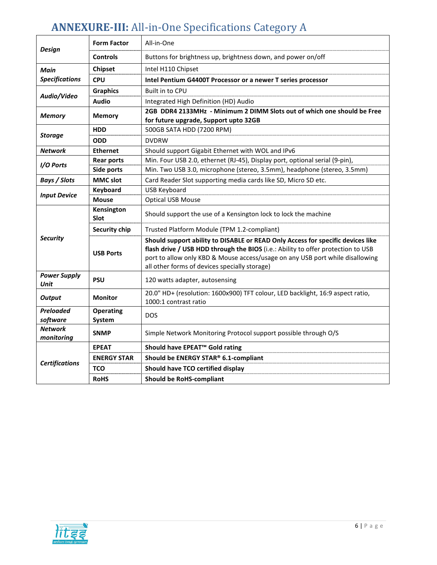## ANNEXURE-III: All-in-One Specifications Category A

| <b>Design</b>                               | <b>Form Factor</b>         | All-in-One                                                                                                                                                                                                                                                                                            |  |  |
|---------------------------------------------|----------------------------|-------------------------------------------------------------------------------------------------------------------------------------------------------------------------------------------------------------------------------------------------------------------------------------------------------|--|--|
|                                             | <b>Controls</b>            | Buttons for brightness up, brightness down, and power on/off                                                                                                                                                                                                                                          |  |  |
| Main                                        | Chipset                    | Intel H110 Chipset                                                                                                                                                                                                                                                                                    |  |  |
| <b>Specifications</b>                       | <b>CPU</b>                 | Intel Pentium G4400T Processor or a newer T series processor                                                                                                                                                                                                                                          |  |  |
|                                             | <b>Graphics</b>            | Built in to CPU                                                                                                                                                                                                                                                                                       |  |  |
| Audio/Video                                 | <b>Audio</b>               | Integrated High Definition (HD) Audio                                                                                                                                                                                                                                                                 |  |  |
| <b>Memory</b>                               | <b>Memory</b>              | 2GB DDR4 2133MHz - Minimum 2 DIMM Slots out of which one should be Free<br>for future upgrade, Support upto 32GB                                                                                                                                                                                      |  |  |
|                                             | <b>HDD</b>                 | 500GB SATA HDD (7200 RPM)                                                                                                                                                                                                                                                                             |  |  |
| <b>Storage</b>                              | <b>ODD</b>                 | <b>DVDRW</b>                                                                                                                                                                                                                                                                                          |  |  |
| <b>Network</b>                              | <b>Ethernet</b>            | Should support Gigabit Ethernet with WOL and IPv6                                                                                                                                                                                                                                                     |  |  |
| I/O Ports                                   | <b>Rear ports</b>          | Min. Four USB 2.0, ethernet (RJ-45), Display port, optional serial (9-pin),                                                                                                                                                                                                                           |  |  |
|                                             | Side ports                 | Min. Two USB 3.0, microphone (stereo, 3.5mm), headphone (stereo, 3.5mm)                                                                                                                                                                                                                               |  |  |
| <b>Bays / Slots</b>                         | <b>MMC slot</b>            | Card Reader Slot supporting media cards like SD, Micro SD etc.                                                                                                                                                                                                                                        |  |  |
| <b>Input Device</b>                         | Keyboard                   | <b>USB Keyboard</b>                                                                                                                                                                                                                                                                                   |  |  |
|                                             | <b>Mouse</b>               | <b>Optical USB Mouse</b>                                                                                                                                                                                                                                                                              |  |  |
|                                             | Kensington<br><b>Slot</b>  | Should support the use of a Kensington lock to lock the machine                                                                                                                                                                                                                                       |  |  |
|                                             | <b>Security chip</b>       | Trusted Platform Module (TPM 1.2-compliant)                                                                                                                                                                                                                                                           |  |  |
| <b>Security</b>                             | <b>USB Ports</b>           | Should support ability to DISABLE or READ Only Access for specific devices like<br>flash drive / USB HDD through the BIOS (i.e.: Ability to offer protection to USB<br>port to allow only KBD & Mouse access/usage on any USB port while disallowing<br>all other forms of devices specially storage) |  |  |
| <b>Power Supply</b><br>Unit                 | <b>PSU</b>                 | 120 watts adapter, autosensing                                                                                                                                                                                                                                                                        |  |  |
| <b>Output</b>                               | <b>Monitor</b>             | 20.0" HD+ (resolution: 1600x900) TFT colour, LED backlight, 16:9 aspect ratio,<br>1000:1 contrast ratio                                                                                                                                                                                               |  |  |
| <b>Preloaded</b><br>software                | <b>Operating</b><br>System | <b>DOS</b>                                                                                                                                                                                                                                                                                            |  |  |
| <b>Network</b><br><b>SNMP</b><br>monitoring |                            | Simple Network Monitoring Protocol support possible through O/S                                                                                                                                                                                                                                       |  |  |
|                                             | <b>EPEAT</b>               | Should have EPEAT <sup>™</sup> Gold rating                                                                                                                                                                                                                                                            |  |  |
| <b>Certifications</b>                       | <b>ENERGY STAR</b>         | Should be ENERGY STAR® 6.1-compliant                                                                                                                                                                                                                                                                  |  |  |
|                                             | <b>TCO</b>                 | Should have TCO certified display                                                                                                                                                                                                                                                                     |  |  |
|                                             | <b>RoHS</b>                | <b>Should be RoHS-compliant</b>                                                                                                                                                                                                                                                                       |  |  |

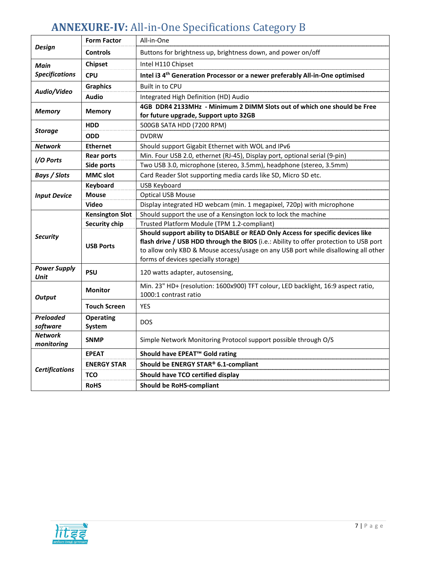# ANNEXURE-IV: All-in-One Specifications Category B

|                                                                                                                | <b>Form Factor</b>     | All-in-One                                                                                                                                                                                                                                                                                            |  |  |
|----------------------------------------------------------------------------------------------------------------|------------------------|-------------------------------------------------------------------------------------------------------------------------------------------------------------------------------------------------------------------------------------------------------------------------------------------------------|--|--|
| <b>Design</b>                                                                                                  | <b>Controls</b>        | Buttons for brightness up, brightness down, and power on/off                                                                                                                                                                                                                                          |  |  |
| <b>Main</b>                                                                                                    | <b>Chipset</b>         | Intel H110 Chipset                                                                                                                                                                                                                                                                                    |  |  |
| <b>Specifications</b>                                                                                          | <b>CPU</b>             | Intel i3 4 <sup>th</sup> Generation Processor or a newer preferably All-in-One optimised                                                                                                                                                                                                              |  |  |
|                                                                                                                | <b>Graphics</b>        | Built in to CPU                                                                                                                                                                                                                                                                                       |  |  |
| Audio/Video                                                                                                    | Audio                  | Integrated High Definition (HD) Audio                                                                                                                                                                                                                                                                 |  |  |
| <b>Memory</b>                                                                                                  | <b>Memory</b>          | 4GB DDR4 2133MHz - Minimum 2 DIMM Slots out of which one should be Free<br>for future upgrade, Support upto 32GB                                                                                                                                                                                      |  |  |
|                                                                                                                | <b>HDD</b>             | 500GB SATA HDD (7200 RPM)                                                                                                                                                                                                                                                                             |  |  |
| <b>Storage</b>                                                                                                 | <b>ODD</b>             | <b>DVDRW</b>                                                                                                                                                                                                                                                                                          |  |  |
| <b>Network</b>                                                                                                 | <b>Ethernet</b>        | Should support Gigabit Ethernet with WOL and IPv6                                                                                                                                                                                                                                                     |  |  |
| I/O Ports                                                                                                      | <b>Rear ports</b>      | Min. Four USB 2.0, ethernet (RJ-45), Display port, optional serial (9-pin)                                                                                                                                                                                                                            |  |  |
|                                                                                                                | Side ports             | Two USB 3.0, microphone (stereo, 3.5mm), headphone (stereo, 3.5mm)                                                                                                                                                                                                                                    |  |  |
| <b>Bays / Slots</b>                                                                                            | <b>MMC slot</b>        | Card Reader Slot supporting media cards like SD, Micro SD etc.                                                                                                                                                                                                                                        |  |  |
|                                                                                                                | Keyboard               | <b>USB Keyboard</b>                                                                                                                                                                                                                                                                                   |  |  |
| <b>Input Device</b>                                                                                            | <b>Mouse</b>           | <b>Optical USB Mouse</b>                                                                                                                                                                                                                                                                              |  |  |
|                                                                                                                | Video                  | Display integrated HD webcam (min. 1 megapixel, 720p) with microphone                                                                                                                                                                                                                                 |  |  |
|                                                                                                                | <b>Kensington Slot</b> | Should support the use of a Kensington lock to lock the machine                                                                                                                                                                                                                                       |  |  |
|                                                                                                                | Security chip          | Trusted Platform Module (TPM 1.2-compliant)                                                                                                                                                                                                                                                           |  |  |
| <b>Security</b>                                                                                                | <b>USB Ports</b>       | Should support ability to DISABLE or READ Only Access for specific devices like<br>flash drive / USB HDD through the BIOS (i.e.: Ability to offer protection to USB port<br>to allow only KBD & Mouse access/usage on any USB port while disallowing all other<br>forms of devices specially storage) |  |  |
| <b>Power Supply</b><br>Unit                                                                                    | <b>PSU</b>             | 120 watts adapter, autosensing,                                                                                                                                                                                                                                                                       |  |  |
| <b>Output</b>                                                                                                  | <b>Monitor</b>         | Min. 23" HD+ (resolution: 1600x900) TFT colour, LED backlight, 16:9 aspect ratio,<br>1000:1 contrast ratio                                                                                                                                                                                            |  |  |
|                                                                                                                | <b>Touch Screen</b>    | <b>YES</b>                                                                                                                                                                                                                                                                                            |  |  |
| Preloaded<br><b>Operating</b><br><b>DOS</b><br>software<br>System                                              |                        |                                                                                                                                                                                                                                                                                                       |  |  |
| <b>Network</b><br><b>SNMP</b><br>Simple Network Monitoring Protocol support possible through O/S<br>monitoring |                        |                                                                                                                                                                                                                                                                                                       |  |  |
|                                                                                                                | <b>EPEAT</b>           | Should have EPEAT <sup>™</sup> Gold rating                                                                                                                                                                                                                                                            |  |  |
| <b>Certifications</b>                                                                                          | <b>ENERGY STAR</b>     | Should be ENERGY STAR® 6.1-compliant                                                                                                                                                                                                                                                                  |  |  |
|                                                                                                                | <b>TCO</b>             | Should have TCO certified display                                                                                                                                                                                                                                                                     |  |  |
|                                                                                                                | <b>RoHS</b>            | <b>Should be RoHS-compliant</b>                                                                                                                                                                                                                                                                       |  |  |

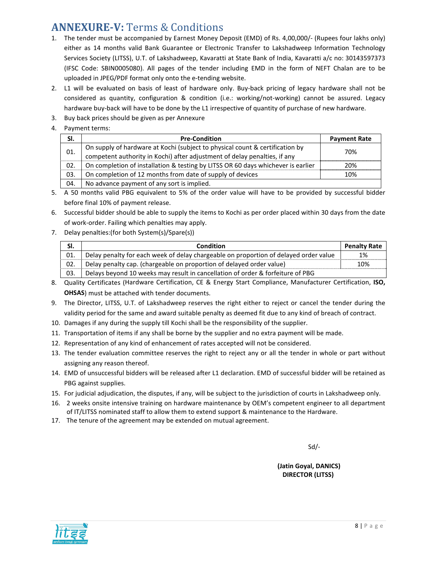## ANNEXURE-V: Terms & Conditions

- 1. The tender must be accompanied by Earnest Money Deposit (EMD) of Rs. 4,00,000/- (Rupees four lakhs only) either as 14 months valid Bank Guarantee or Electronic Transfer to Lakshadweep Information Technology Services Society (LITSS), U.T. of Lakshadweep, Kavaratti at State Bank of India, Kavaratti a/c no: 30143597373 (IFSC Code: SBIN0005080). All pages of the tender including EMD in the form of NEFT Chalan are to be uploaded in JPEG/PDF format only onto the e-tending website.
- 2. L1 will be evaluated on basis of least of hardware only. Buy-back pricing of legacy hardware shall not be considered as quantity, configuration & condition (i.e.: working/not-working) cannot be assured. Legacy hardware buy-back will have to be done by the L1 irrespective of quantity of purchase of new hardware.
- 3. Buy back prices should be given as per Annexure
- 4. Payment terms:

| SI. | <b>Pre-Condition</b>                                                             | <b>Payment Rate</b> |
|-----|----------------------------------------------------------------------------------|---------------------|
|     | On supply of hardware at Kochi (subject to physical count & certification by     |                     |
| 01. | competent authority in Kochi) after adjustment of delay penalties, if any        | 70%                 |
| 02. | On completion of installation & testing by LITSS OR 60 days whichever is earlier | 20%                 |
| 03. | On completion of 12 months from date of supply of devices                        | 10%                 |
| 04. | No advance payment of any sort is implied.                                       |                     |

- 5. A 50 months valid PBG equivalent to 5% of the order value will have to be provided by successful bidder before final 10% of payment release.
- 6. Successful bidder should be able to supply the items to Kochi as per order placed within 30 days from the date of work-order. Failing which penalties may apply.
- 7. Delay penalties:(for both System(s)/Spare(s))

| SI. | Condition                                                                            | <b>Penalty Rate</b> |
|-----|--------------------------------------------------------------------------------------|---------------------|
| 01. | Delay penalty for each week of delay chargeable on proportion of delayed order value | 1%                  |
| 02. | Delay penalty cap. (chargeable on proportion of delayed order value)                 | 10%                 |
| 03. | Delays beyond 10 weeks may result in cancellation of order & forfeiture of PBG       |                     |

- 8. Quality Certificates (Hardware Certification, CE & Energy Start Compliance, Manufacturer Certification, ISO, OHSAS) must be attached with tender documents.
- 9. The Director, LITSS, U.T. of Lakshadweep reserves the right either to reject or cancel the tender during the validity period for the same and award suitable penalty as deemed fit due to any kind of breach of contract.
- 10. Damages if any during the supply till Kochi shall be the responsibility of the supplier.
- 11. Transportation of items if any shall be borne by the supplier and no extra payment will be made.
- 12. Representation of any kind of enhancement of rates accepted will not be considered.
- 13. The tender evaluation committee reserves the right to reject any or all the tender in whole or part without assigning any reason thereof.
- 14. EMD of unsuccessful bidders will be released after L1 declaration. EMD of successful bidder will be retained as PBG against supplies.
- 15. For judicial adjudication, the disputes, if any, will be subject to the jurisdiction of courts in Lakshadweep only.
- 16. 2 weeks onsite intensive training on hardware maintenance by OEM's competent engineer to all department of IT/LITSS nominated staff to allow them to extend support & maintenance to the Hardware.
- 17. The tenure of the agreement may be extended on mutual agreement.

 $Sd$ -

 (Jatin Goyal, DANICS) DIRECTOR (LITSS)

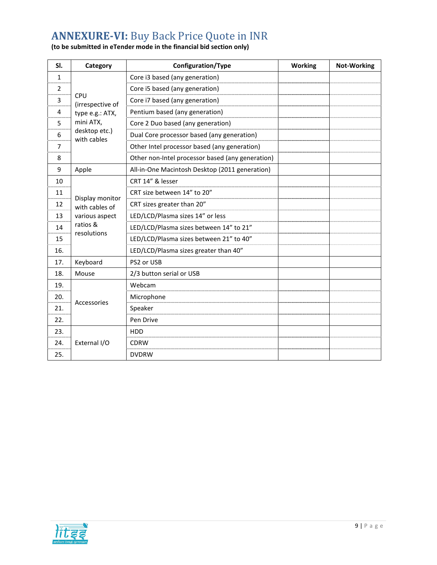## ANNEXURE-VI: Buy Back Price Quote in INR

#### (to be submitted in eTender mode in the financial bid section only)

| SI.           | Category                     | Configuration/Type                               | <b>Working</b> | <b>Not-Working</b> |
|---------------|------------------------------|--------------------------------------------------|----------------|--------------------|
| 1             |                              | Core i3 based (any generation)                   |                |                    |
| $\mathcal{P}$ |                              | Core i5 based (any generation)                   |                |                    |
| 3             | CPU<br>(irrespective of      | Core i7 based (any generation)                   |                |                    |
| 4             | type e.g.: ATX,              | Pentium based (any generation)                   |                |                    |
| 5             | mini ATX,                    | Core 2 Duo based (any generation)                |                |                    |
| 6             | desktop etc.)<br>with cables | Dual Core processor based (any generation)       |                |                    |
| 7             |                              | Other Intel processor based (any generation)     |                |                    |
| 8             |                              | Other non-Intel processor based (any generation) |                |                    |
| 9             | Apple                        | All-in-One Macintosh Desktop (2011 generation)   |                |                    |
| 10            |                              | CRT 14" & lesser                                 |                |                    |
| 11            | Display monitor              | CRT size between 14" to 20"                      |                |                    |
| 12            | with cables of               | CRT sizes greater than 20"                       |                |                    |
| 13            | various aspect               | LED/LCD/Plasma sizes 14" or less                 |                |                    |
| 14            | ratios &<br>resolutions      | LED/LCD/Plasma sizes between 14" to 21"          |                |                    |
| 15            |                              | LED/LCD/Plasma sizes between 21" to 40"          |                |                    |
| 16.           |                              | LED/LCD/Plasma sizes greater than 40"            |                |                    |
| 17.           | Keyboard                     | PS2 or USB                                       |                |                    |
| 18.           | Mouse                        | 2/3 button serial or USB                         |                |                    |
| 19.           |                              | Webcam                                           |                |                    |
| 20.           | Accessories                  | Microphone                                       |                |                    |
| 21.           |                              | Speaker                                          |                |                    |
| 22.           |                              | Pen Drive                                        |                |                    |
| 23.           |                              | <b>HDD</b>                                       |                |                    |
| 24.           | External I/O                 | <b>CDRW</b>                                      |                |                    |
| 25.           |                              | <b>DVDRW</b>                                     |                |                    |

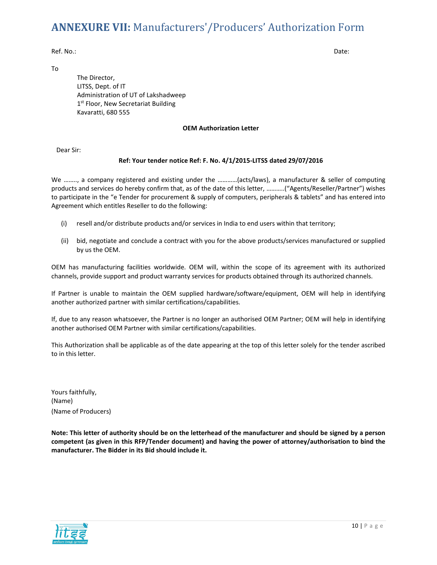### ANNEXURE VII: Manufacturers'/Producers' Authorization Form

Ref. No.: Date:

To

The Director, LITSS, Dept. of IT Administration of UT of Lakshadweep 1<sup>st</sup> Floor, New Secretariat Building Kavaratti, 680 555

#### OEM Authorization Letter

Dear Sir:

#### Ref: Your tender notice Ref: F. No. 4/1/2015-LITSS dated 29/07/2016

We …….., a company registered and existing under the …………(acts/laws), a manufacturer & seller of computing products and services do hereby confirm that, as of the date of this letter, ………..("Agents/Reseller/Partner") wishes to participate in the "e Tender for procurement & supply of computers, peripherals & tablets" and has entered into Agreement which entitles Reseller to do the following:

- (i) resell and/or distribute products and/or services in India to end users within that territory;
- (ii) bid, negotiate and conclude a contract with you for the above products/services manufactured or supplied by us the OEM.

OEM has manufacturing facilities worldwide. OEM will, within the scope of its agreement with its authorized channels, provide support and product warranty services for products obtained through its authorized channels.

If Partner is unable to maintain the OEM supplied hardware/software/equipment, OEM will help in identifying another authorized partner with similar certifications/capabilities.

If, due to any reason whatsoever, the Partner is no longer an authorised OEM Partner; OEM will help in identifying another authorised OEM Partner with similar certifications/capabilities.

This Authorization shall be applicable as of the date appearing at the top of this letter solely for the tender ascribed to in this letter.

Yours faithfully, (Name) (Name of Producers)

Note: This letter of authority should be on the letterhead of the manufacturer and should be signed by a person competent (as given in this RFP/Tender document) and having the power of attorney/authorisation to bind the manufacturer. The Bidder in its Bid should include it.

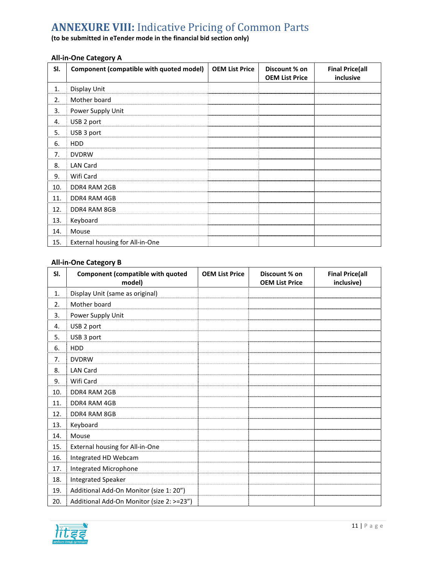## **ANNEXURE VIII: Indicative Pricing of Common Parts**

(to be submitted in eTender mode in the financial bid section only)

### All-in-One Category A

| SI. | Component (compatible with quoted model) | <b>OEM List Price</b> | Discount % on<br><b>OEM List Price</b> | <b>Final Price(all</b><br>inclusive |
|-----|------------------------------------------|-----------------------|----------------------------------------|-------------------------------------|
| 1.  | Display Unit                             |                       |                                        |                                     |
| 2.  | Mother board                             |                       |                                        |                                     |
| 3.  | Power Supply Unit                        |                       |                                        |                                     |
| 4.  | USB 2 port                               |                       |                                        |                                     |
| 5.  | USB 3 port                               |                       |                                        |                                     |
| 6.  | <b>HDD</b>                               |                       |                                        |                                     |
| 7.  | <b>DVDRW</b>                             |                       |                                        |                                     |
| 8.  | <b>LAN Card</b>                          |                       |                                        |                                     |
| 9.  | Wifi Card                                |                       |                                        |                                     |
| 10. | DDR4 RAM 2GB                             |                       |                                        |                                     |
| 11. | DDR4 RAM 4GB                             |                       |                                        |                                     |
| 12. | DDR4 RAM 8GB                             |                       |                                        |                                     |
| 13. | Keyboard                                 |                       |                                        |                                     |
| 14. | Mouse                                    |                       |                                        |                                     |
| 15. | External housing for All-in-One          |                       |                                        |                                     |

### All-in-One Category B

| SI. | <b>Component (compatible with quoted</b><br>model) | <b>OEM List Price</b> | Discount % on<br><b>OEM List Price</b> | <b>Final Price(all</b><br>inclusive) |
|-----|----------------------------------------------------|-----------------------|----------------------------------------|--------------------------------------|
| 1.  | Display Unit (same as original)                    |                       |                                        |                                      |
| 2.  | Mother board                                       |                       |                                        |                                      |
| 3.  | Power Supply Unit                                  |                       |                                        |                                      |
| 4.  | USB 2 port                                         |                       |                                        |                                      |
| 5.  | USB 3 port                                         |                       |                                        |                                      |
| 6.  | <b>HDD</b>                                         |                       |                                        |                                      |
| 7.  | <b>DVDRW</b>                                       |                       |                                        |                                      |
| 8.  | <b>LAN Card</b>                                    |                       |                                        |                                      |
| 9.  | Wifi Card                                          |                       |                                        |                                      |
| 10. | DDR4 RAM 2GB                                       |                       |                                        |                                      |
| 11. | DDR4 RAM 4GB                                       |                       |                                        |                                      |
| 12. | DDR4 RAM 8GB                                       |                       |                                        |                                      |
| 13. | Keyboard                                           |                       |                                        |                                      |
| 14. | Mouse                                              |                       |                                        |                                      |
| 15. | External housing for All-in-One                    |                       |                                        |                                      |
| 16. | Integrated HD Webcam                               |                       |                                        |                                      |
| 17. | Integrated Microphone                              |                       |                                        |                                      |
| 18. | <b>Integrated Speaker</b>                          |                       |                                        |                                      |
| 19. | Additional Add-On Monitor (size 1: 20")            |                       |                                        |                                      |
| 20. | Additional Add-On Monitor (size 2: >=23")          |                       |                                        |                                      |